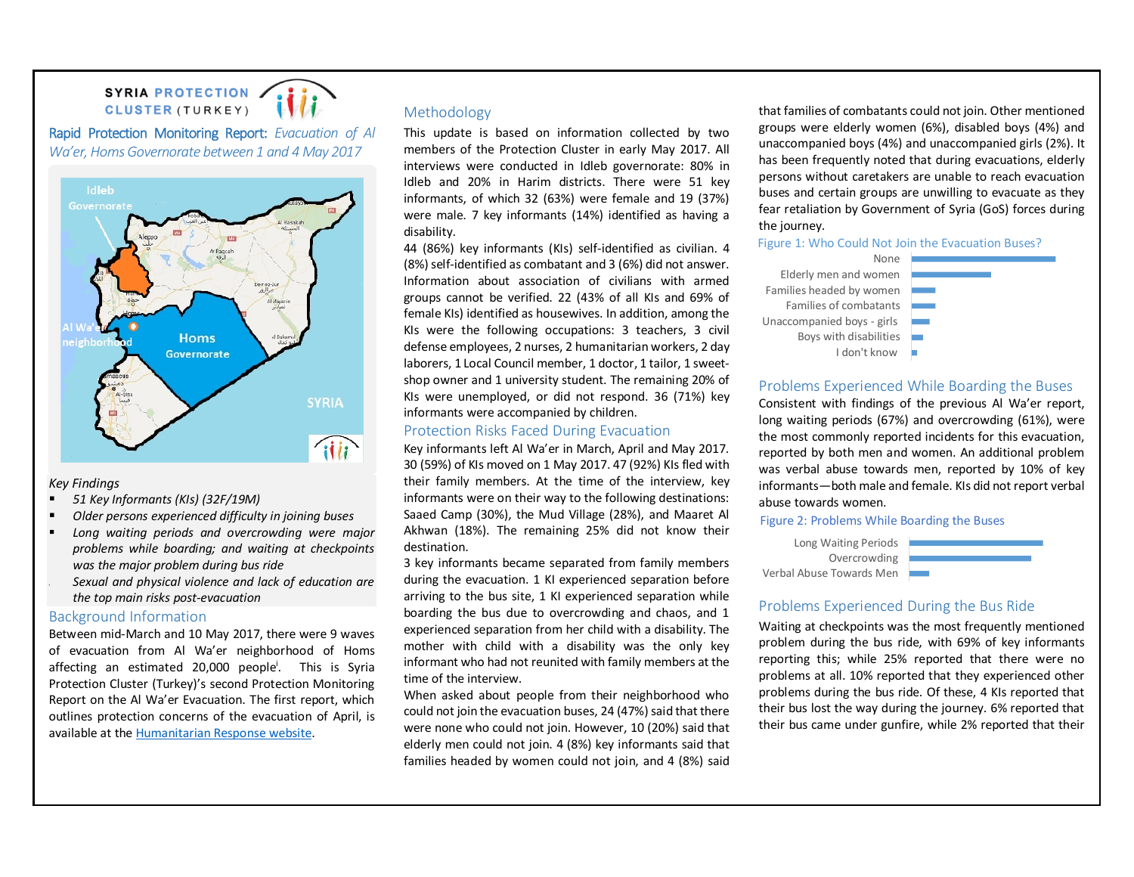# SYRIA PROTECTION CLUSTER (TURKEY)

**Rapid Protection Monitoring Report:** *Evacuation of Al Wa'er, Homs Governorate between 1 and 4 May 2017*



#### *Key Findings*

- *51 Key Informants (KIs) (32F/19M)*
- *Older persons experienced difficulty in joining buses*
- *Long waiting periods and overcrowding were major problems while boarding; and waiting at checkpoints was the major problem during bus ride Sexual and physical violence and lack of education are*
- *the top main risks post-evacuation*

## Background Information

Between mid-March and 10 May 2017, there were 9 waves of evacuation from Al Wa'er neighborhood of Homs affecting an estimated 20,000 people<sup>i</sup>. This is Syria Protection Cluster (Turkey)'s second Protection Monitoring Report on the Al Wa'er Evacuation. The first report, which outlines protection concerns of the evacuation of April, is available at the Humanitarian Response website.

# Methodology

This update is based on information collected by two members of the Protection Cluster in early May 2017. All interviews were conducted in Idleb governorate: 80% in Idleb and 20% in Harim districts. There were 51 key informants, of which 32 (63%) were female and 19 (37%) were male. 7 key informants (14%) identified as having a disability.

44 (86%) key informants (KIs) self-identified as civilian. 4 (8%) self-identified as combatant and 3 (6%) did not answer. Information about association of civilians with armed groups cannot be verified. 22 (43% of all KIs and 69% of female KIs) identified as housewives. In addition, among the KIs were the following occupations: 3 teachers, 3 civil defense employees, 2 nurses, 2 humanitarian workers, 2 day laborers, 1 Local Council member, 1 doctor, 1 tailor, 1 sweetshop owner and 1 university student. The remaining 20% of KIs were unemployed, or did not respond. 36 (71%) key informants were accompanied by children.

## Protection Risks Faced During Evacuation

Key informants left Al Wa'er in March, April and May 2017. 30 (59%) of KIs moved on 1 May 2017. 47 (92%) KIs fled with their family members. At the time of the interview, key informants were on their way to the following destinations: Saaed Camp (30%), the Mud Village (28%), and Maaret Al Akhwan (18%). The remaining 25% did not know their destination.

3 key informants became separated from family members during the evacuation. 1 KI experienced separation before arriving to the bus site, 1 KI experienced separation while boarding the bus due to overcrowding and chaos, and 1 experienced separation from her child with a disability. The mother with child with a disability was the only key informant who had not reunited with family members at the time of the interview.

When asked about people from their neighborhood who could not join the evacuation buses, 24 (47%) said that there were none who could not join. However, 10 (20%) said that elderly men could not join. 4 (8%) key informants said that families headed by women could not join, and 4 (8%) said that families of combatants could not join. Other mentioned groups were elderly women (6%), disabled boys (4%) and unaccompanied boys (4%) and unaccompanied girls (2%). It has been frequently noted that during evacuations, elderly persons without caretakers are unable to reach evacuation buses and certain groups are unwilling to evacuate as they fear retaliation by Government of Syria (GoS) forces during the journey.

## Figure 1: Who Could Not Join the Evacuation Buses?



# Problems Experienced While Boarding the Buses

Consistent with findings of the previous Al Wa'er report, long waiting periods (67%) and overcrowding (61%), were the most commonly reported incidents for this evacuation, reported by both men and women. An additional problem was verbal abuse towards men, reported by 10% of key informants—both male and female. KIs did not report verbal abuse towards women.

Figure 2: Problems While Boarding the Buses

Long Waiting Periods **Overcrowding** Verbal Abuse Towards Men

# Problems Experienced During the Bus Ride

Waiting at checkpoints was the most frequently mentioned problem during the bus ride, with 69% of key informants reporting this; while 25% reported that there were no problems at all. 10% reported that they experienced other problems during the bus ride. Of these, 4 KIs reported that their bus lost the way during the journey. 6% reported that their bus came under gunfire, while 2% reported that their